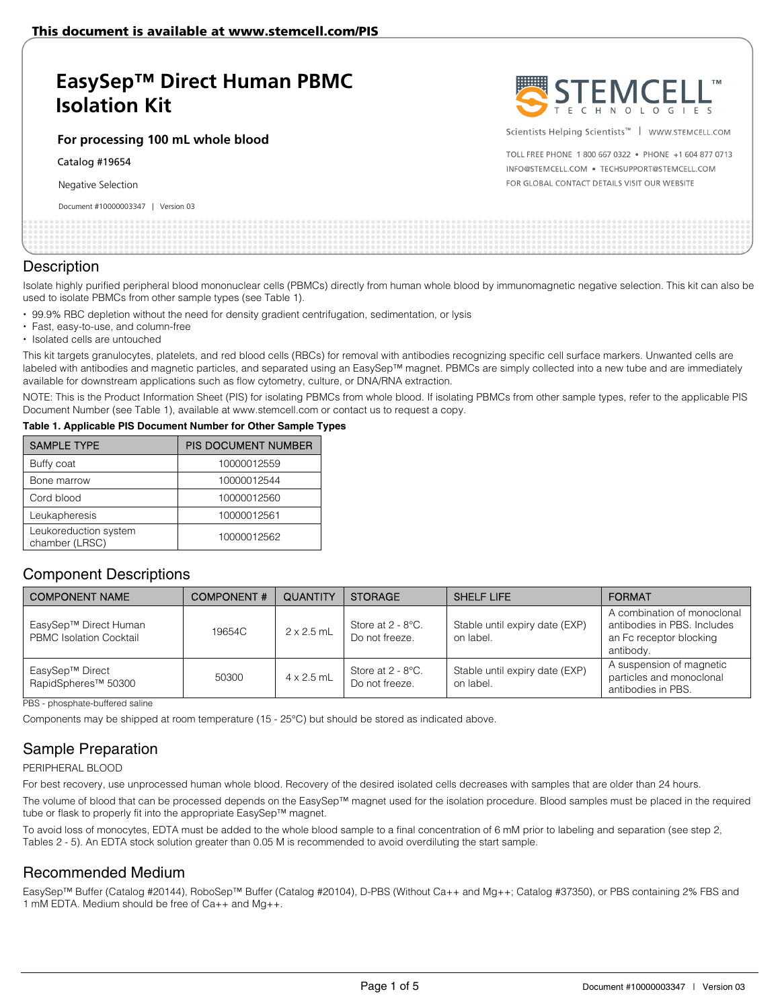# **EasySep™ Direct Human PBMC Isolation Kit**

**For processing 100 mL whole blood** 

Catalog #19654

Negative Selection

Document #10000003347 | Version 03



Scientists Helping Scientists™ | WWW.STEMCELL.COM

TOLL FREE PHONE 1 800 667 0322 . PHONE +1 604 877 0713 INFO@STEMCELL.COM . TECHSUPPORT@STEMCELL.COM FOR GLOBAL CONTACT DETAILS VISIT OUR WEBSITE

#### **Description**

Isolate highly purified peripheral blood mononuclear cells (PBMCs) directly from human whole blood by immunomagnetic negative selection. This kit can also be used to isolate PBMCs from other sample types (see Table 1).

- 99.9% RBC depletion without the need for density gradient centrifugation, sedimentation, or lysis
- Fast, easy-to-use, and column-free
- Isolated cells are untouched

This kit targets granulocytes, platelets, and red blood cells (RBCs) for removal with antibodies recognizing specific cell surface markers. Unwanted cells are labeled with antibodies and magnetic particles, and separated using an EasySep™ magnet. PBMCs are simply collected into a new tube and are immediately available for downstream applications such as flow cytometry, culture, or DNA/RNA extraction.

NOTE: This is the Product Information Sheet (PIS) for isolating PBMCs from whole blood. If isolating PBMCs from other sample types, refer to the applicable PIS Document Number (see Table 1), available at www.stemcell.com or contact us to request a copy.

#### **Table 1. Applicable PIS Document Number for Other Sample Types**

| <b>SAMPLE TYPE</b>                      | <b>PIS DOCUMENT NUMBER</b> |
|-----------------------------------------|----------------------------|
| Buffy coat                              | 10000012559                |
| Bone marrow                             | 10000012544                |
| Cord blood                              | 10000012560                |
| Leukapheresis                           | 10000012561                |
| Leukoreduction system<br>chamber (LRSC) | 10000012562                |

### Component Descriptions

| <b>COMPONENT NAME</b>                                   | <b>COMPONENT#</b> | QUANTITY          | <b>STORAGE</b>                                     | <b>SHELF LIFE</b>                           | <b>FORMAT</b>                                                                                      |
|---------------------------------------------------------|-------------------|-------------------|----------------------------------------------------|---------------------------------------------|----------------------------------------------------------------------------------------------------|
| EasySep™ Direct Human<br><b>PBMC</b> Isolation Cocktail | 19654C            | $2 \times 2.5$ mL | Store at $2 - 8$ °C.<br>Do not freeze.             | Stable until expiry date (EXP)<br>on label. | A combination of monoclonal<br>antibodies in PBS, Includes<br>an Fc receptor blocking<br>antibody. |
| EasySep™ Direct<br>RapidSpheres <sup>™</sup> 50300      | 50300             | $4 \times 2.5$ mL | Store at $2 - 8$ <sup>o</sup> C.<br>Do not freeze. | Stable until expiry date (EXP)<br>on label. | A suspension of magnetic<br>particles and monoclonal<br>antibodies in PBS.                         |

PBS - phosphate-buffered saline

Components may be shipped at room temperature (15 - 25°C) but should be stored as indicated above.

## Sample Preparation

PERIPHERAL BLOOD

For best recovery, use unprocessed human whole blood. Recovery of the desired isolated cells decreases with samples that are older than 24 hours.

The volume of blood that can be processed depends on the EasySep™ magnet used for the isolation procedure. Blood samples must be placed in the required tube or flask to properly fit into the appropriate EasySep™ magnet.

To avoid loss of monocytes, EDTA must be added to the whole blood sample to a final concentration of 6 mM prior to labeling and separation (see step 2, Tables 2 - 5). An EDTA stock solution greater than 0.05 M is recommended to avoid overdiluting the start sample.

### Recommended Medium

EasySep™ Buffer (Catalog #20144), RoboSep™ Buffer (Catalog #20104), D-PBS (Without Ca++ and Mg++; Catalog #37350), or PBS containing 2% FBS and 1 mM EDTA. Medium should be free of Ca++ and Mg++.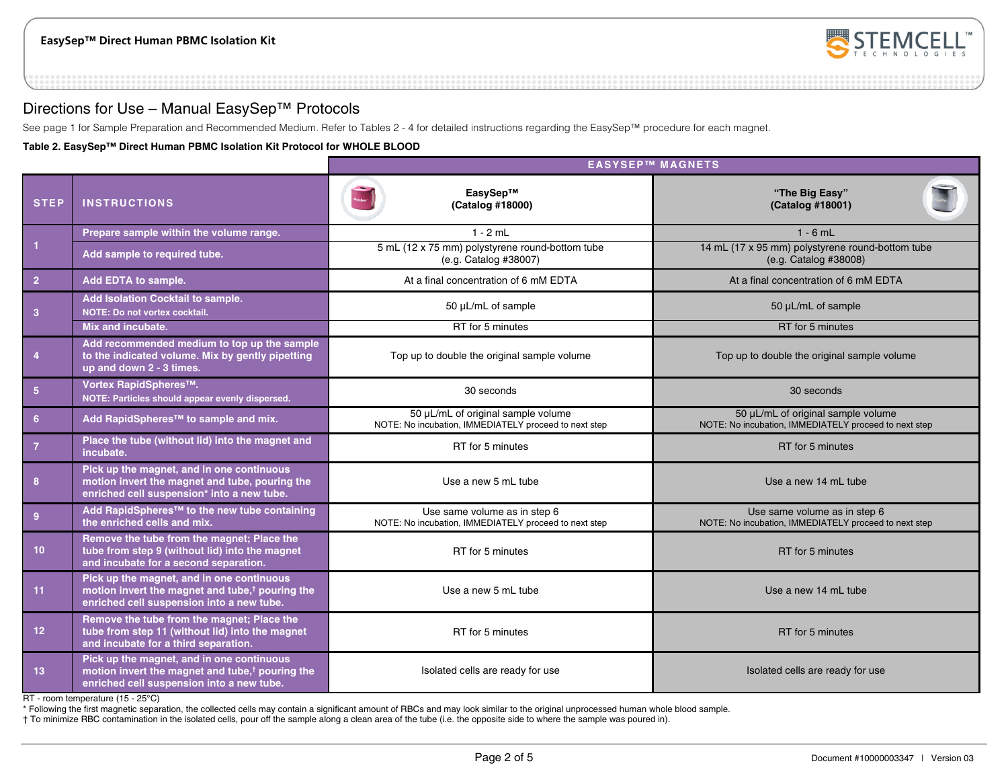

## Directions for Use – Manual EasySep™ Protocols

See page 1 for Sample Preparation and Recommended Medium. Refer to Tables 2 - 4 for detailed instructions regarding the EasySep™ procedure for each magnet.

**Table 2. EasySep™ Direct Human PBMC Isolation Kit Protocol for WHOLE BLOOD** 

|                 |                                                                                                                                                       |                                                                                             | <b>EASYSEP™ MAGNETS</b>                                                                     |
|-----------------|-------------------------------------------------------------------------------------------------------------------------------------------------------|---------------------------------------------------------------------------------------------|---------------------------------------------------------------------------------------------|
| <b>STEP</b>     | <b>INSTRUCTIONS</b>                                                                                                                                   | EasySep™<br>(Catalog #18000)                                                                | "The Big Easy"<br>(Catalog #18001)                                                          |
|                 | Prepare sample within the volume range.                                                                                                               | $1 - 2$ mL                                                                                  | $1 - 6$ mL                                                                                  |
| $\vert$ 1       | Add sample to required tube.                                                                                                                          | 5 mL (12 x 75 mm) polystyrene round-bottom tube<br>(e.g. Catalog #38007)                    | 14 mL (17 x 95 mm) polystyrene round-bottom tube<br>(e.g. Catalog #38008)                   |
| $\overline{2}$  | Add EDTA to sample.                                                                                                                                   | At a final concentration of 6 mM EDTA                                                       | At a final concentration of 6 mM EDTA                                                       |
| $\overline{3}$  | Add Isolation Cocktail to sample.<br>NOTE: Do not vortex cocktail.                                                                                    | 50 µL/mL of sample                                                                          | 50 µL/mL of sample                                                                          |
|                 | Mix and incubate.                                                                                                                                     | RT for 5 minutes                                                                            | RT for 5 minutes                                                                            |
| $\overline{4}$  | Add recommended medium to top up the sample<br>to the indicated volume. Mix by gently pipetting<br>up and down 2 - 3 times.                           | Top up to double the original sample volume                                                 | Top up to double the original sample volume                                                 |
| $5\phantom{.0}$ | Vortex RapidSpheres™.<br>NOTE: Particles should appear evenly dispersed.                                                                              | 30 seconds                                                                                  | 30 seconds                                                                                  |
| $6\phantom{1}6$ | Add RapidSpheres <sup>™</sup> to sample and mix.                                                                                                      | 50 µL/mL of original sample volume<br>NOTE: No incubation, IMMEDIATELY proceed to next step | 50 µL/mL of original sample volume<br>NOTE: No incubation, IMMEDIATELY proceed to next step |
| $\overline{7}$  | Place the tube (without lid) into the magnet and<br>incubate.                                                                                         | RT for 5 minutes                                                                            | RT for 5 minutes                                                                            |
| 8               | Pick up the magnet, and in one continuous<br>motion invert the magnet and tube, pouring the<br>enriched cell suspension* into a new tube.             | Use a new 5 mL tube                                                                         | Use a new 14 mL tube                                                                        |
| 9               | Add RapidSpheres <sup>™</sup> to the new tube containing<br>the enriched cells and mix.                                                               | Use same volume as in step 6<br>NOTE: No incubation, IMMEDIATELY proceed to next step       | Use same volume as in step 6<br>NOTE: No incubation, IMMEDIATELY proceed to next step       |
| 10 <sup>°</sup> | Remove the tube from the magnet; Place the<br>tube from step 9 (without lid) into the magnet<br>and incubate for a second separation.                 | RT for 5 minutes                                                                            | RT for 5 minutes                                                                            |
| 11              | Pick up the magnet, and in one continuous<br>motion invert the magnet and tube, <sup>†</sup> pouring the<br>enriched cell suspension into a new tube. | Use a new 5 mL tube                                                                         | Use a new 14 mL tube                                                                        |
| 12 <sup>2</sup> | Remove the tube from the magnet; Place the<br>tube from step 11 (without lid) into the magnet<br>and incubate for a third separation.                 | RT for 5 minutes                                                                            | RT for 5 minutes                                                                            |
| 13              | Pick up the magnet, and in one continuous<br>motion invert the magnet and tube, <sup>†</sup> pouring the<br>enriched cell suspension into a new tube. | Isolated cells are ready for use                                                            | Isolated cells are ready for use                                                            |

RT - room temperature (15 - 25°C)

\* Following the first magnetic separation, the collected cells may contain a significant amount of RBCs and may look similar to the original unprocessed human whole blood sample.

† To minimize RBC contamination in the isolated cells, pour off the sample along a clean area of the tube (i.e. the opposite side to where the sample was poured in).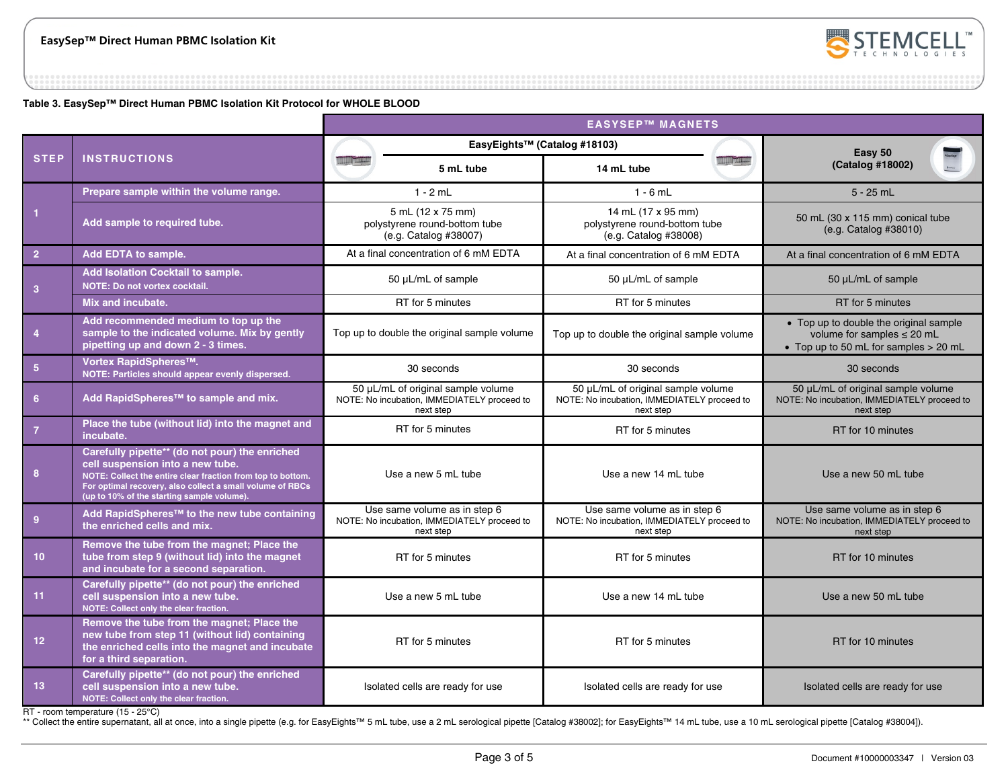

**Table 3. EasySep™ Direct Human PBMC Isolation Kit Protocol for WHOLE BLOOD** 

|                  |                                                                                                                                                                                                                                                              | <b>EASYSEP™ MAGNETS</b>                                                                        |                                       |                                                                                                |  |                                                                                                                    |
|------------------|--------------------------------------------------------------------------------------------------------------------------------------------------------------------------------------------------------------------------------------------------------------|------------------------------------------------------------------------------------------------|---------------------------------------|------------------------------------------------------------------------------------------------|--|--------------------------------------------------------------------------------------------------------------------|
|                  |                                                                                                                                                                                                                                                              | EasyEights™ (Catalog #18103)                                                                   |                                       | Easy 50                                                                                        |  |                                                                                                                    |
| <b>STEP</b>      | <b>INSTRUCTIONS</b>                                                                                                                                                                                                                                          |                                                                                                | 5 mL tube                             | 14 mL tube                                                                                     |  | (Catalog #18002)                                                                                                   |
|                  | Prepare sample within the volume range.                                                                                                                                                                                                                      |                                                                                                | $1 - 2$ mL                            | $1 - 6$ mL                                                                                     |  | $5 - 25$ mL                                                                                                        |
| 1                | Add sample to required tube.                                                                                                                                                                                                                                 | 5 mL (12 x 75 mm)<br>polystyrene round-bottom tube<br>(e.g. Catalog #38007)                    |                                       | 14 mL (17 x 95 mm)<br>polystyrene round-bottom tube<br>(e.g. Catalog #38008)                   |  | 50 mL (30 x 115 mm) conical tube<br>(e.g. Catalog #38010)                                                          |
| $\overline{2}$   | <b>Add EDTA to sample.</b>                                                                                                                                                                                                                                   |                                                                                                | At a final concentration of 6 mM EDTA | At a final concentration of 6 mM EDTA                                                          |  | At a final concentration of 6 mM EDTA                                                                              |
| 3                | Add Isolation Cocktail to sample.<br><b>NOTE: Do not vortex cocktail.</b>                                                                                                                                                                                    | 50 µL/mL of sample                                                                             |                                       | 50 µL/mL of sample                                                                             |  | 50 µL/mL of sample                                                                                                 |
|                  | Mix and incubate.                                                                                                                                                                                                                                            | RT for 5 minutes                                                                               |                                       | RT for 5 minutes                                                                               |  | RT for 5 minutes                                                                                                   |
| $\overline{4}$   | Add recommended medium to top up the<br>sample to the indicated volume. Mix by gently<br>pipetting up and down 2 - 3 times.                                                                                                                                  | Top up to double the original sample volume                                                    |                                       | Top up to double the original sample volume                                                    |  | • Top up to double the original sample<br>volume for samples $\leq$ 20 mL<br>• Top up to 50 mL for samples > 20 mL |
| $5\phantom{.0}$  | Vortex RapidSpheres™.<br>NOTE: Particles should appear evenly dispersed.                                                                                                                                                                                     | 30 seconds                                                                                     |                                       | 30 seconds                                                                                     |  | 30 seconds                                                                                                         |
| $6 \overline{6}$ | Add RapidSpheres <sup>™</sup> to sample and mix.                                                                                                                                                                                                             | 50 µL/mL of original sample volume<br>NOTE: No incubation, IMMEDIATELY proceed to<br>next step |                                       | 50 µL/mL of original sample volume<br>NOTE: No incubation, IMMEDIATELY proceed to<br>next step |  | 50 µL/mL of original sample volume<br>NOTE: No incubation, IMMEDIATELY proceed to<br>next step                     |
| $\overline{7}$   | Place the tube (without lid) into the magnet and<br>incubate.                                                                                                                                                                                                | RT for 5 minutes                                                                               |                                       | RT for 5 minutes                                                                               |  | RT for 10 minutes                                                                                                  |
| 8                | Carefully pipette** (do not pour) the enriched<br>cell suspension into a new tube.<br>NOTE: Collect the entire clear fraction from top to bottom.<br>For optimal recovery, also collect a small volume of RBCs<br>(up to 10% of the starting sample volume). | Use a new 5 mL tube                                                                            |                                       | Use a new 14 mL tube                                                                           |  | Use a new 50 mL tube                                                                                               |
| $\overline{9}$   | Add RapidSpheres <sup>™</sup> to the new tube containing<br>the enriched cells and mix.                                                                                                                                                                      | Use same volume as in step 6<br>NOTE: No incubation, IMMEDIATELY proceed to<br>next step       |                                       | Use same volume as in step 6<br>NOTE: No incubation, IMMEDIATELY proceed to<br>next step       |  | Use same volume as in step 6<br>NOTE: No incubation, IMMEDIATELY proceed to<br>next step                           |
| $10-1$           | Remove the tube from the magnet; Place the<br>tube from step 9 (without lid) into the magnet<br>and incubate for a second separation.                                                                                                                        | RT for 5 minutes                                                                               |                                       | RT for 5 minutes                                                                               |  | RT for 10 minutes                                                                                                  |
| 11 <sub>1</sub>  | Carefully pipette** (do not pour) the enriched<br>cell suspension into a new tube.<br>NOTE: Collect only the clear fraction.                                                                                                                                 | Use a new 5 mL tube                                                                            |                                       | Use a new 14 mL tube                                                                           |  | Use a new 50 mL tube                                                                                               |
| 12 <sup>2</sup>  | Remove the tube from the magnet; Place the<br>new tube from step 11 (without lid) containing<br>the enriched cells into the magnet and incubate<br>for a third separation.                                                                                   | RT for 5 minutes                                                                               |                                       | RT for 5 minutes                                                                               |  | RT for 10 minutes                                                                                                  |
| 13               | Carefully pipette** (do not pour) the enriched<br>cell suspension into a new tube.<br>NOTE: Collect only the clear fraction.                                                                                                                                 | Isolated cells are ready for use                                                               |                                       | Isolated cells are ready for use                                                               |  | Isolated cells are ready for use                                                                                   |

RT - room temperature (15 - 25°C)

\*\* Collect the entire supernatant, all at once, into a single pipette (e.g. for EasyEights™ 5 mL tube, use a 2 mL serological pipette [Catalog #38002]; for EasyEights™ 14 mL tube, use a 10 mL serological pipette [Catalog #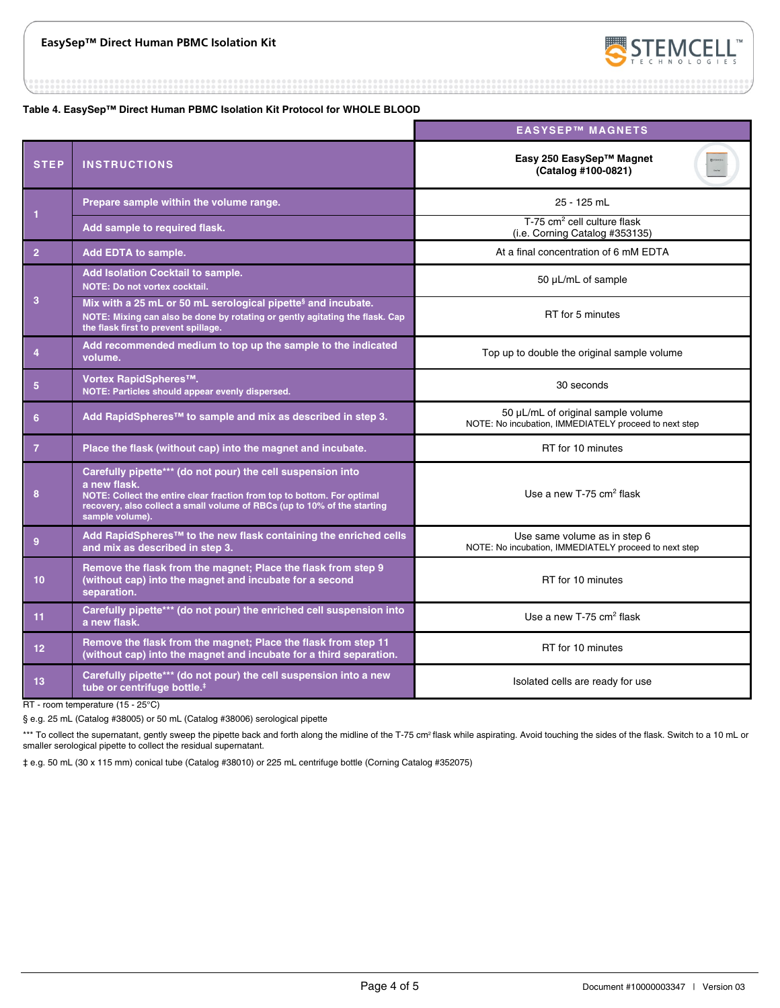

**Table 4. EasySep™ Direct Human PBMC Isolation Kit Protocol for WHOLE BLOOD** 

|                 |                                                                                                                                                                                                                                                       | <b>EASYSEP™ MAGNETS</b>                                                                     |  |  |
|-----------------|-------------------------------------------------------------------------------------------------------------------------------------------------------------------------------------------------------------------------------------------------------|---------------------------------------------------------------------------------------------|--|--|
| <b>STEP</b>     | <b>INSTRUCTIONS</b>                                                                                                                                                                                                                                   | Easy 250 EasySep™ Magnet<br>(Catalog #100-0821)                                             |  |  |
|                 | Prepare sample within the volume range.                                                                                                                                                                                                               | 25 - 125 mL                                                                                 |  |  |
| 1               | Add sample to required flask.                                                                                                                                                                                                                         | T-75 cm <sup>2</sup> cell culture flask<br>(i.e. Corning Catalog #353135)                   |  |  |
| $\overline{2}$  | Add EDTA to sample.                                                                                                                                                                                                                                   | At a final concentration of 6 mM EDTA                                                       |  |  |
|                 | Add Isolation Cocktail to sample.<br><b>NOTE: Do not vortex cocktail.</b>                                                                                                                                                                             | 50 µL/mL of sample                                                                          |  |  |
| 3               | Mix with a 25 mL or 50 mL serological pipette <sup>§</sup> and incubate.<br>NOTE: Mixing can also be done by rotating or gently agitating the flask. Cap<br>the flask first to prevent spillage.                                                      | RT for 5 minutes                                                                            |  |  |
| $\overline{4}$  | Add recommended medium to top up the sample to the indicated<br>volume.                                                                                                                                                                               | Top up to double the original sample volume                                                 |  |  |
| 5               | Vortex RapidSpheres <sup>™</sup> .<br>NOTE: Particles should appear evenly dispersed.                                                                                                                                                                 | 30 seconds                                                                                  |  |  |
| 6               | Add RapidSpheres™ to sample and mix as described in step 3.                                                                                                                                                                                           | 50 µL/mL of original sample volume<br>NOTE: No incubation, IMMEDIATELY proceed to next step |  |  |
| $\overline{7}$  | Place the flask (without cap) into the magnet and incubate.                                                                                                                                                                                           | RT for 10 minutes                                                                           |  |  |
| 8               | Carefully pipette*** (do not pour) the cell suspension into<br>a new flask.<br>NOTE: Collect the entire clear fraction from top to bottom. For optimal<br>recovery, also collect a small volume of RBCs (up to 10% of the starting<br>sample volume). | Use a new T-75 $cm2$ flask                                                                  |  |  |
| 9               | Add RapidSpheres™ to the new flask containing the enriched cells<br>and mix as described in step 3.                                                                                                                                                   | Use same volume as in step 6<br>NOTE: No incubation, IMMEDIATELY proceed to next step       |  |  |
| 10              | Remove the flask from the magnet; Place the flask from step 9<br>(without cap) into the magnet and incubate for a second<br>separation.                                                                                                               | RT for 10 minutes                                                                           |  |  |
| 11              | Carefully pipette*** (do not pour) the enriched cell suspension into<br>a new flask.                                                                                                                                                                  | Use a new T-75 cm <sup>2</sup> flask                                                        |  |  |
| 12 <sub>2</sub> | Remove the flask from the magnet; Place the flask from step 11<br>(without cap) into the magnet and incubate for a third separation.                                                                                                                  | RT for 10 minutes                                                                           |  |  |
| 13.             | Carefully pipette*** (do not pour) the cell suspension into a new<br>tube or centrifuge bottle. <sup>#</sup>                                                                                                                                          | Isolated cells are ready for use                                                            |  |  |

RT - room temperature (15 - 25°C)

§ e.g. 25 mL (Catalog #38005) or 50 mL (Catalog #38006) serological pipette

\*\*\* To collect the supernatant, gently sweep the pipette back and forth along the midline of the T-75 cm<sup>2</sup> flask while aspirating. Avoid touching the sides of the flask. Switch to a 10 mL or smaller serological pipette to collect the residual supernatant.

‡ e.g. 50 mL (30 x 115 mm) conical tube (Catalog #38010) or 225 mL centrifuge bottle (Corning Catalog #352075)